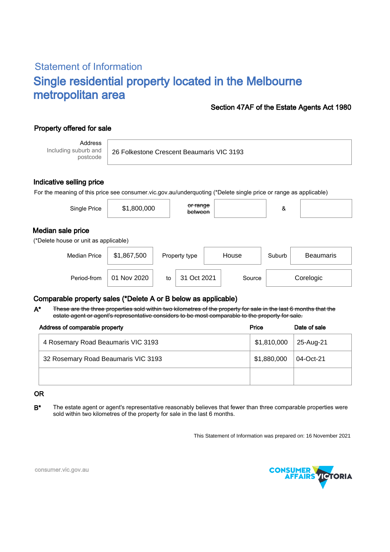# Statement of Information Single residential property located in the Melbourne metropolitan area

### Section 47AF of the Estate Agents Act 1980

## Property offered for sale

Address Including suburb and postcode

26 Folkestone Crescent Beaumaris VIC 3193

#### Indicative selling price

For the meaning of this price see consumer.vic.gov.au/underquoting (\*Delete single price or range as applicable)

| Single Price                                               | \$1,800,000 |    | <del>or range</del><br>between |  |        | &                          |  |  |  |  |  |
|------------------------------------------------------------|-------------|----|--------------------------------|--|--------|----------------------------|--|--|--|--|--|
| Median sale price<br>(*Delete house or unit as applicable) |             |    |                                |  |        |                            |  |  |  |  |  |
| <b>Median Price</b>                                        | \$1,867,500 |    | Property type                  |  | House  | Suburb<br><b>Beaumaris</b> |  |  |  |  |  |
| Period-from                                                | 01 Nov 2020 | to | 31 Oct 2021                    |  | Source | Corelogic                  |  |  |  |  |  |

### Comparable property sales (\*Delete A or B below as applicable)

These are the three properties sold within two kilometres of the property for sale in the last 6 months that the estate agent or agent's representative considers to be most comparable to the property for sale. A\*

| Address of comparable property      | Price       | Date of sale |  |
|-------------------------------------|-------------|--------------|--|
| 4 Rosemary Road Beaumaris VIC 3193  | \$1,810,000 | 25-Aug-21    |  |
| 32 Rosemary Road Beaumaris VIC 3193 | \$1,880,000 | 04-Oct-21    |  |
|                                     |             |              |  |

#### OR

B<sup>\*</sup> The estate agent or agent's representative reasonably believes that fewer than three comparable properties were sold within two kilometres of the property for sale in the last 6 months.

This Statement of Information was prepared on: 16 November 2021



consumer.vic.gov.au